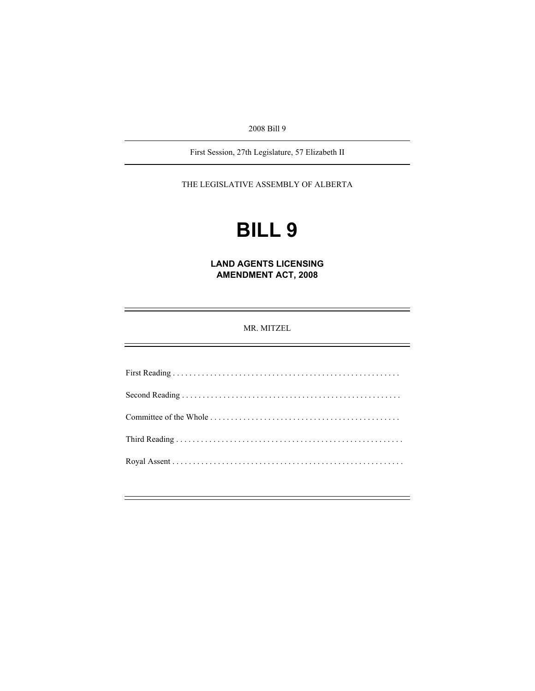2008 Bill 9

First Session, 27th Legislature, 57 Elizabeth II

THE LEGISLATIVE ASSEMBLY OF ALBERTA

# **BILL 9**

**LAND AGENTS LICENSING AMENDMENT ACT, 2008** 

MR. MITZEL

First Reading . . . . . . . . . . . . . . . . . . . . . . . . . . . . . . . . . . . . . . . . . . . . . . . . . . . . . . . Second Reading . . . . . . . . . . . . . . . . . . . . . . . . . . . . . . . . . . . . . . . . . . . . . . . . . . . . . Committee of the Whole . . . . . . . . . . . . . . . . . . . . . . . . . . . . . . . . . . . . . . . . . . . . . . Third Reading . . . . . . . . . . . . . . . . . . . . . . . . . . . . . . . . . . . . . . . . . . . . . . . . . . . . . . . Royal Assent . . . . . . . . . . . . . . . . . . . . . . . . . . . . . . . . . . . . . . . . . . . . . . . . . . . . . . . .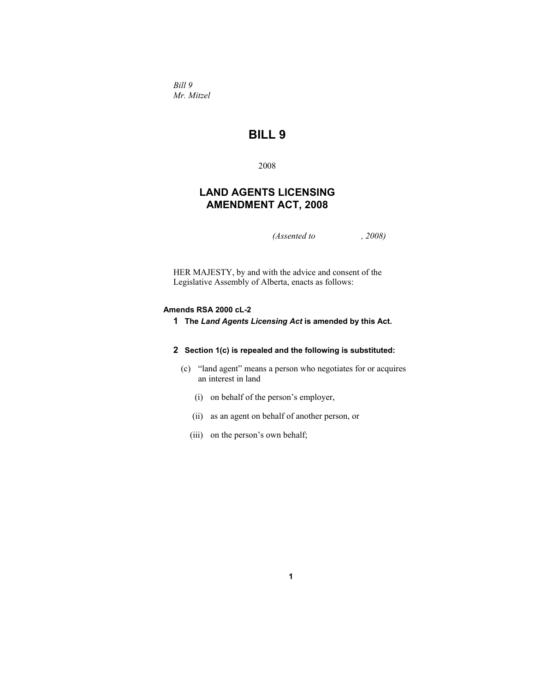*Bill 9 Mr. Mitzel* 

## **BILL 9**

2008

### **LAND AGENTS LICENSING AMENDMENT ACT, 2008**

*(Assented to , 2008)* 

HER MAJESTY, by and with the advice and consent of the Legislative Assembly of Alberta, enacts as follows:

#### **Amends RSA 2000 cL-2**

**1 The** *Land Agents Licensing Act* **is amended by this Act.**

#### **2 Section 1(c) is repealed and the following is substituted:**

 (c) "land agent" means a person who negotiates for or acquires an interest in land

**1**

- (i) on behalf of the person's employer,
- (ii) as an agent on behalf of another person, or
- (iii) on the person's own behalf;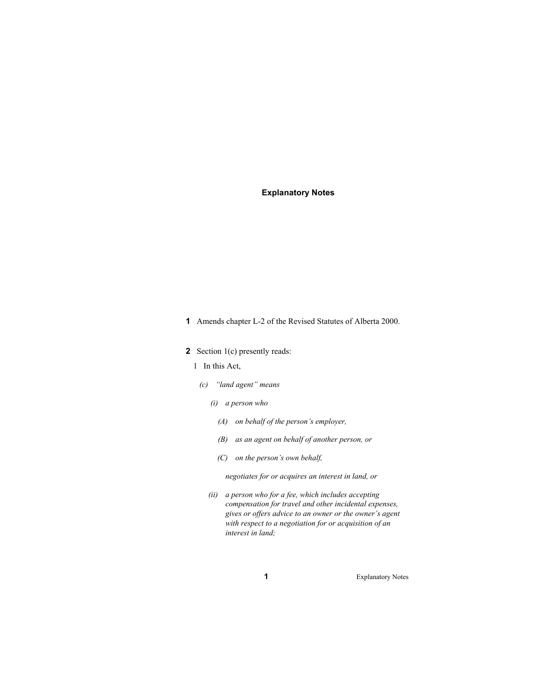#### **Explanatory Notes**

- **1** Amends chapter L-2 of the Revised Statutes of Alberta 2000.
- **2** Section 1(c) presently reads:
	- 1 In this Act,
	- *(c) "land agent" means* 
		- *(i) a person who* 
			- *(A) on behalf of the person's employer,*
			- *(B) as an agent on behalf of another person, or*
			- *(C) on the person's own behalf,*

 *negotiates for or acquires an interest in land, or* 

*(ii) a person who for a fee, which includes accepting compensation for travel and other incidental expenses, gives or offers advice to an owner or the owner's agent with respect to a negotiation for or acquisition of an interest in land;* 

**1** Explanatory Notes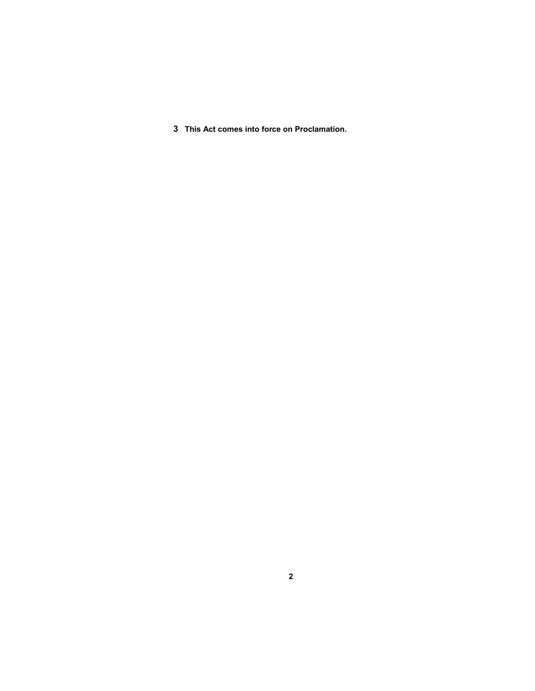**3 This Act comes into force on Proclamation.**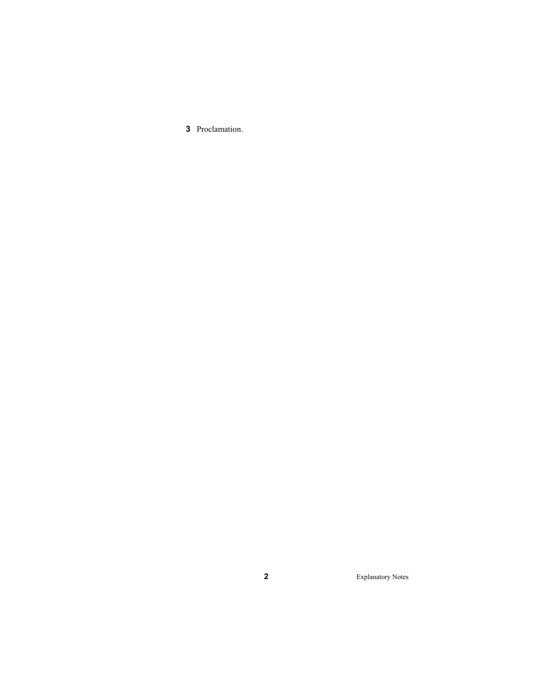Proclamation.

Explanatory Notes